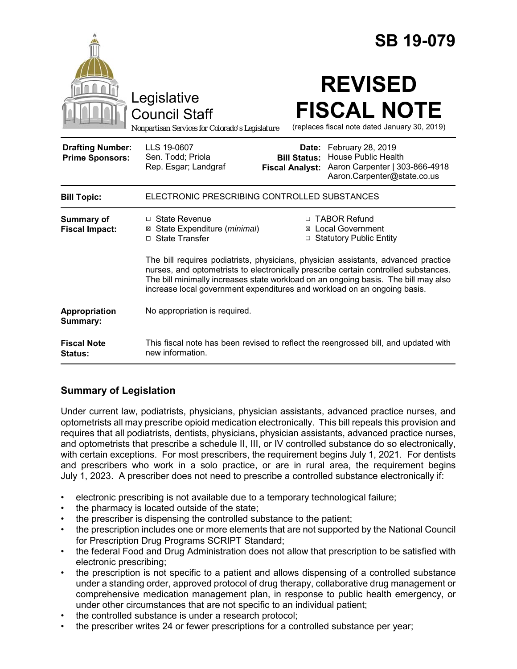|                                                   | <b>SB 19-079</b>                                                                                                                                                                                                                                                                                                                            |  |  |
|---------------------------------------------------|---------------------------------------------------------------------------------------------------------------------------------------------------------------------------------------------------------------------------------------------------------------------------------------------------------------------------------------------|--|--|
|                                                   | <b>REVISED</b><br>Legislative<br><b>FISCAL NOTE</b><br><b>Council Staff</b><br>(replaces fiscal note dated January 30, 2019)<br>Nonpartisan Services for Colorado's Legislature                                                                                                                                                             |  |  |
| <b>Drafting Number:</b><br><b>Prime Sponsors:</b> | LLS 19-0607<br>February 28, 2019<br>Date:<br>Sen. Todd; Priola<br><b>House Public Health</b><br><b>Bill Status:</b><br>Aaron Carpenter   303-866-4918<br>Rep. Esgar; Landgraf<br><b>Fiscal Analyst:</b><br>Aaron.Carpenter@state.co.us                                                                                                      |  |  |
| <b>Bill Topic:</b>                                | ELECTRONIC PRESCRIBING CONTROLLED SUBSTANCES                                                                                                                                                                                                                                                                                                |  |  |
| Summary of<br><b>Fiscal Impact:</b>               | □ TABOR Refund<br>$\Box$ State Revenue<br>⊠ State Expenditure (minimal)<br><b>⊠</b> Local Government<br>□ State Transfer<br>□ Statutory Public Entity                                                                                                                                                                                       |  |  |
|                                                   | The bill requires podiatrists, physicians, physician assistants, advanced practice<br>nurses, and optometrists to electronically prescribe certain controlled substances.<br>The bill minimally increases state workload on an ongoing basis. The bill may also<br>increase local government expenditures and workload on an ongoing basis. |  |  |
| Appropriation<br>Summary:                         | No appropriation is required.                                                                                                                                                                                                                                                                                                               |  |  |
| <b>Fiscal Note</b><br>Status:                     | This fiscal note has been revised to reflect the reengrossed bill, and updated with<br>new information.                                                                                                                                                                                                                                     |  |  |

# **Summary of Legislation**

Under current law, podiatrists, physicians, physician assistants, advanced practice nurses, and optometrists all may prescribe opioid medication electronically. This bill repeals this provision and requires that all podiatrists, dentists, physicians, physician assistants, advanced practice nurses, and optometrists that prescribe a schedule II, III, or IV controlled substance do so electronically, with certain exceptions. For most prescribers, the requirement begins July 1, 2021. For dentists and prescribers who work in a solo practice, or are in rural area, the requirement begins July 1, 2023. A prescriber does not need to prescribe a controlled substance electronically if:

- electronic prescribing is not available due to a temporary technological failure;
- the pharmacy is located outside of the state:
- the prescriber is dispensing the controlled substance to the patient;
- the prescription includes one or more elements that are not supported by the National Council for Prescription Drug Programs SCRIPT Standard;
- the federal Food and Drug Administration does not allow that prescription to be satisfied with electronic prescribing;
- the prescription is not specific to a patient and allows dispensing of a controlled substance under a standing order, approved protocol of drug therapy, collaborative drug management or comprehensive medication management plan, in response to public health emergency, or under other circumstances that are not specific to an individual patient;
- the controlled substance is under a research protocol;
- the prescriber writes 24 or fewer prescriptions for a controlled substance per year;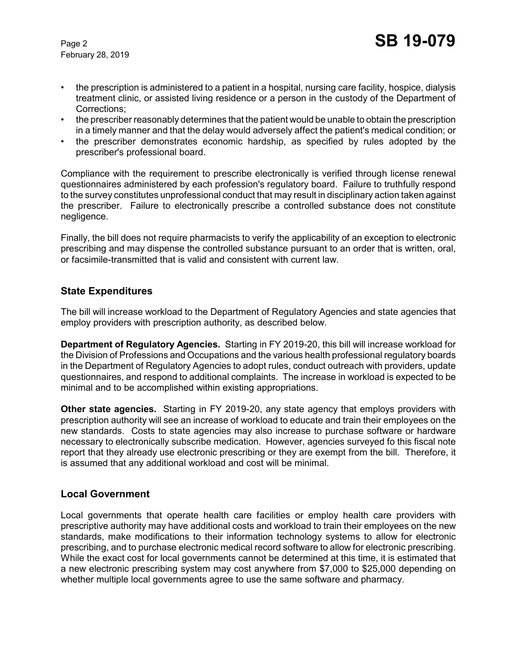February 28, 2019

- the prescription is administered to a patient in a hospital, nursing care facility, hospice, dialysis treatment clinic, or assisted living residence or a person in the custody of the Department of Corrections;
- the prescriber reasonably determines that the patient would be unable to obtain the prescription in a timely manner and that the delay would adversely affect the patient's medical condition; or
- the prescriber demonstrates economic hardship, as specified by rules adopted by the prescriber's professional board.

Compliance with the requirement to prescribe electronically is verified through license renewal questionnaires administered by each profession's regulatory board. Failure to truthfully respond to the survey constitutes unprofessional conduct that may result in disciplinary action taken against the prescriber. Failure to electronically prescribe a controlled substance does not constitute negligence.

Finally, the bill does not require pharmacists to verify the applicability of an exception to electronic prescribing and may dispense the controlled substance pursuant to an order that is written, oral, or facsimile-transmitted that is valid and consistent with current law.

## **State Expenditures**

The bill will increase workload to the Department of Regulatory Agencies and state agencies that employ providers with prescription authority, as described below.

**Department of Regulatory Agencies.** Starting in FY 2019-20, this bill will increase workload for the Division of Professions and Occupations and the various health professional regulatory boards in the Department of Regulatory Agencies to adopt rules, conduct outreach with providers, update questionnaires, and respond to additional complaints. The increase in workload is expected to be minimal and to be accomplished within existing appropriations.

**Other state agencies.** Starting in FY 2019-20, any state agency that employs providers with prescription authority will see an increase of workload to educate and train their employees on the new standards. Costs to state agencies may also increase to purchase software or hardware necessary to electronically subscribe medication. However, agencies surveyed fo this fiscal note report that they already use electronic prescribing or they are exempt from the bill. Therefore, it is assumed that any additional workload and cost will be minimal.

#### **Local Government**

Local governments that operate health care facilities or employ health care providers with prescriptive authority may have additional costs and workload to train their employees on the new standards, make modifications to their information technology systems to allow for electronic prescribing, and to purchase electronic medical record software to allow for electronic prescribing. While the exact cost for local governments cannot be determined at this time, it is estimated that a new electronic prescribing system may cost anywhere from \$7,000 to \$25,000 depending on whether multiple local governments agree to use the same software and pharmacy.